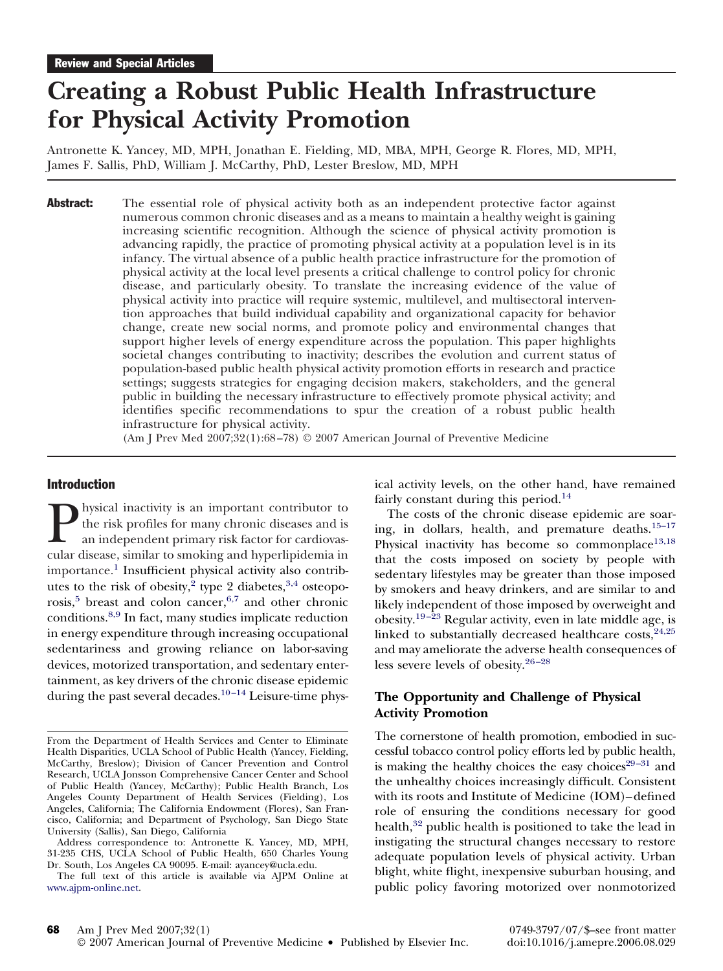# **Creating a Robust Public Health Infrastructure for Physical Activity Promotion**

Antronette K. Yancey, MD, MPH, Jonathan E. Fielding, MD, MBA, MPH, George R. Flores, MD, MPH, James F. Sallis, PhD, William J. McCarthy, PhD, Lester Breslow, MD, MPH

**Abstract:** The essential role of physical activity both as an independent protective factor against numerous common chronic diseases and as a means to maintain a healthy weight is gaining increasing scientific recognition. Although the science of physical activity promotion is advancing rapidly, the practice of promoting physical activity at a population level is in its infancy. The virtual absence of a public health practice infrastructure for the promotion of physical activity at the local level presents a critical challenge to control policy for chronic disease, and particularly obesity. To translate the increasing evidence of the value of physical activity into practice will require systemic, multilevel, and multisectoral intervention approaches that build individual capability and organizational capacity for behavior change, create new social norms, and promote policy and environmental changes that support higher levels of energy expenditure across the population. This paper highlights societal changes contributing to inactivity; describes the evolution and current status of population-based public health physical activity promotion efforts in research and practice settings; suggests strategies for engaging decision makers, stakeholders, and the general public in building the necessary infrastructure to effectively promote physical activity; and identifies specific recommendations to spur the creation of a robust public health infrastructure for physical activity.

(Am J Prev Med 2007;32(1):68 –78) © 2007 American Journal of Preventive Medicine

#### Introduction

**Physical inactivity is an important contributor to** the risk profiles for many chronic diseases and is an independent primary risk factor for cardiovascular disease, similar to smoking and hyperlipidemia in the risk profiles for many chronic diseases and is an independent primary risk factor for cardiovascular disease, similar to smoking and hyperlipidemia in importance.<sup>[1](#page-6-0)</sup> Insufficient physical activity also contrib-utes to the risk of obesity,<sup>[2](#page-6-0)</sup> type 2 diabetes, $3,4$  osteoporosis,[5](#page-7-0) breast and colon cancer,[6,7](#page-7-0) and other chronic conditions.[8,9](#page-7-0) In fact, many studies implicate reduction in energy expenditure through increasing occupational sedentariness and growing reliance on labor-saving devices, motorized transportation, and sedentary entertainment, as key drivers of the chronic disease epidemic during the past several decades.<sup>10-14</sup> Leisure-time phys-

Address correspondence to: Antronette K. Yancey, MD, MPH, 31-235 CHS, UCLA School of Public Health, 650 Charles Young Dr. South, Los Angeles CA 90095. E-mail: ayancey@ucla.edu.

The full text of this article is available via AJPM Online at [www.ajpm-online.net.](http://www.ajpm-online.net)

ical activity levels, on the other hand, have remained fairly constant during this period. $14$ 

The costs of the chronic disease epidemic are soaring, in dollars, health, and premature deaths. $15-17$ Physical inactivity has become so commonplace $13,18$ that the costs imposed on society by people with sedentary lifestyles may be greater than those imposed by smokers and heavy drinkers, and are similar to and likely independent of those imposed by overweight and obesity.<sup>19-23</sup> Regular activity, even in late middle age, is linked to substantially decreased healthcare  $\cos s$ ,  $24.25$ and may ameliorate the adverse health consequences of less severe levels of obesity.[26 –28](#page-7-0)

#### **The Opportunity and Challenge of Physical Activity Promotion**

The cornerstone of health promotion, embodied in successful tobacco control policy efforts led by public health, is making the healthy choices the easy choices $29-31$  and the unhealthy choices increasingly difficult. Consistent with its roots and Institute of Medicine (IOM)– defined role of ensuring the conditions necessary for good health,<sup>[32](#page-7-0)</sup> public health is positioned to take the lead in instigating the structural changes necessary to restore adequate population levels of physical activity. Urban blight, white flight, inexpensive suburban housing, and public policy favoring motorized over nonmotorized

From the Department of Health Services and Center to Eliminate Health Disparities, UCLA School of Public Health (Yancey, Fielding, McCarthy, Breslow); Division of Cancer Prevention and Control Research, UCLA Jonsson Comprehensive Cancer Center and School of Public Health (Yancey, McCarthy); Public Health Branch, Los Angeles County Department of Health Services (Fielding), Los Angeles, California; The California Endowment (Flores), San Francisco, California; and Department of Psychology, San Diego State University (Sallis), San Diego, California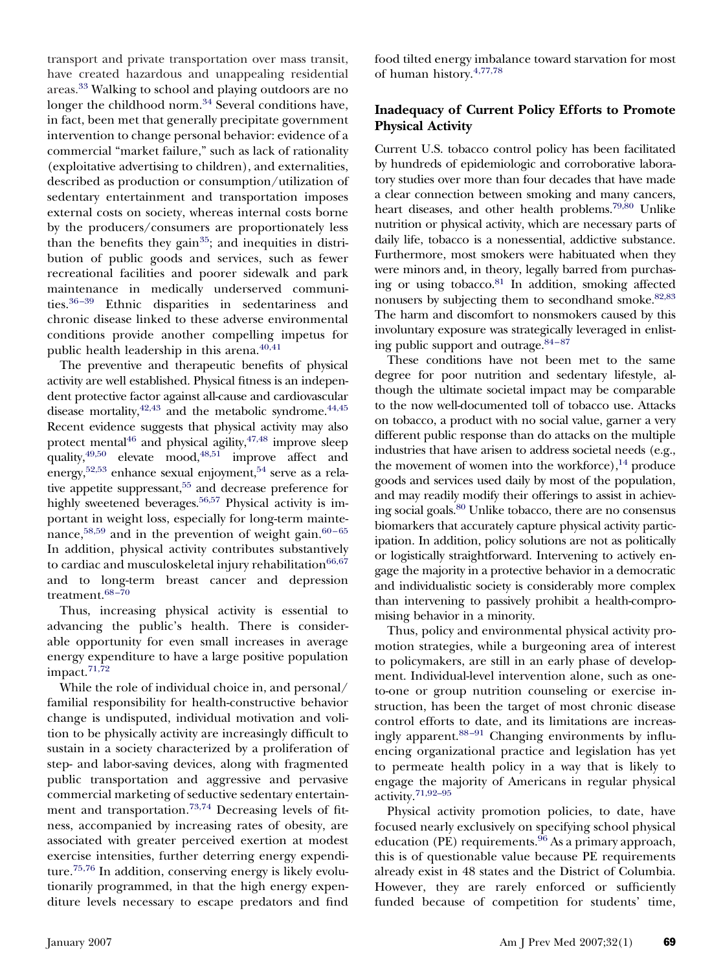transport and private transportation over mass transit, have created hazardous and unappealing residential areas.[33](#page-7-0) Walking to school and playing outdoors are no longer the childhood norm.<sup>[34](#page-7-0)</sup> Several conditions have, in fact, been met that generally precipitate government intervention to change personal behavior: evidence of a commercial "market failure," such as lack of rationality (exploitative advertising to children), and externalities, described as production or consumption/utilization of sedentary entertainment and transportation imposes external costs on society, whereas internal costs borne by the producers/consumers are proportionately less than the benefits they gain<sup>35</sup>; and inequities in distribution of public goods and services, such as fewer recreational facilities and poorer sidewalk and park maintenance in medically underserved communities.<sup>36-39</sup> Ethnic disparities in sedentariness and chronic disease linked to these adverse environmental conditions provide another compelling impetus for public health leadership in this arena. $40,41$ 

The preventive and therapeutic benefits of physical activity are well established. Physical fitness is an independent protective factor against all-cause and cardiovascular disease mortality,  $42,43$  and the metabolic syndrome.  $44,45$ Recent evidence suggests that physical activity may also protect mental $46$  and physical agility, $47,48$  improve sleep quality,  $49,50$  elevate mood,  $48,51$  improve affect and energy,<sup>52,53</sup> enhance sexual enjoyment,<sup>54</sup> serve as a relative appetite suppressant,<sup>55</sup> and decrease preference for highly sweetened beverages.<sup>56,57</sup> Physical activity is important in weight loss, especially for long-term maintenance,  $58,59$  and in the prevention of weight gain.  $60 - 65$ In addition, physical activity contributes substantively to cardiac and musculoskeletal injury rehabilitation $66,67$ and to long-term breast cancer and depression treatment.<sup>68-70</sup>

Thus, increasing physical activity is essential to advancing the public's health. There is considerable opportunity for even small increases in average energy expenditure to have a large positive population impact.<sup>[71,72](#page-8-0)</sup>

While the role of individual choice in, and personal/ familial responsibility for health-constructive behavior change is undisputed, individual motivation and volition to be physically activity are increasingly difficult to sustain in a society characterized by a proliferation of step- and labor-saving devices, along with fragmented public transportation and aggressive and pervasive commercial marketing of seductive sedentary entertainment and transportation.[73,74](#page-8-0) Decreasing levels of fitness, accompanied by increasing rates of obesity, are associated with greater perceived exertion at modest exercise intensities, further deterring energy expenditure.[75,76](#page-8-0) In addition, conserving energy is likely evolutionarily programmed, in that the high energy expenditure levels necessary to escape predators and find food tilted energy imbalance toward starvation for most of human history.[4,77,78](#page-7-0)

# **Inadequacy of Current Policy Efforts to Promote Physical Activity**

Current U.S. tobacco control policy has been facilitated by hundreds of epidemiologic and corroborative laboratory studies over more than four decades that have made a clear connection between smoking and many cancers, heart diseases, and other health problems[.79,80](#page-8-0) Unlike nutrition or physical activity, which are necessary parts of daily life, tobacco is a nonessential, addictive substance. Furthermore, most smokers were habituated when they were minors and, in theory, legally barred from purchasing or using tobacco.<sup>81</sup> In addition, smoking affected nonusers by subjecting them to secondhand smoke.<sup>82,83</sup> The harm and discomfort to nonsmokers caused by this involuntary exposure was strategically leveraged in enlisting public support and outrage[.84–87](#page-8-0)

These conditions have not been met to the same degree for poor nutrition and sedentary lifestyle, although the ultimate societal impact may be comparable to the now well-documented toll of tobacco use. Attacks on tobacco, a product with no social value, garner a very different public response than do attacks on the multiple industries that have arisen to address societal needs (e.g., the movement of women into the workforce), $^{14}$  produce goods and services used daily by most of the population, and may readily modify their offerings to assist in achieving social goals[.80](#page-8-0) Unlike tobacco, there are no consensus biomarkers that accurately capture physical activity participation. In addition, policy solutions are not as politically or logistically straightforward. Intervening to actively engage the majority in a protective behavior in a democratic and individualistic society is considerably more complex than intervening to passively prohibit a health-compromising behavior in a minority.

Thus, policy and environmental physical activity promotion strategies, while a burgeoning area of interest to policymakers, are still in an early phase of development. Individual-level intervention alone, such as oneto-one or group nutrition counseling or exercise instruction, has been the target of most chronic disease control efforts to date, and its limitations are increasingly apparent. $88-91$  Changing environments by influencing organizational practice and legislation has yet to permeate health policy in a way that is likely to engage the majority of Americans in regular physical activity.[71,92–95](#page-8-0)

Physical activity promotion policies, to date, have focused nearly exclusively on specifying school physical education (PE) requirements. $96$  As a primary approach, this is of questionable value because PE requirements already exist in 48 states and the District of Columbia. However, they are rarely enforced or sufficiently funded because of competition for students' time,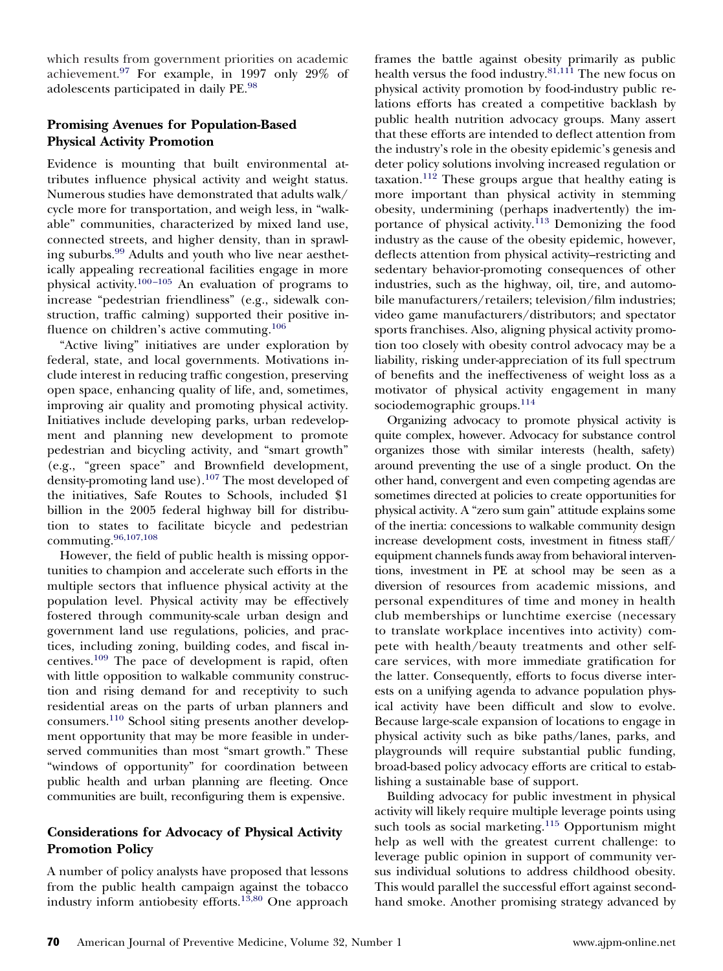which results from government priorities on academic achievement.[97](#page-8-0) For example, in 1997 only 29% of adolescents participated in daily PE.[98](#page-8-0)

# **Promising Avenues for Population-Based Physical Activity Promotion**

Evidence is mounting that built environmental attributes influence physical activity and weight status. Numerous studies have demonstrated that adults walk/ cycle more for transportation, and weigh less, in "walkable" communities, characterized by mixed land use, connected streets, and higher density, than in sprawl-ing suburbs.<sup>[99](#page-8-0)</sup> Adults and youth who live near aesthetically appealing recreational facilities engage in more physical activity.<sup>100-105</sup> An evaluation of programs to increase "pedestrian friendliness" (e.g., sidewalk construction, traffic calming) supported their positive in-fluence on children's active commuting.<sup>[106](#page-8-0)</sup>

"Active living" initiatives are under exploration by federal, state, and local governments. Motivations include interest in reducing traffic congestion, preserving open space, enhancing quality of life, and, sometimes, improving air quality and promoting physical activity. Initiatives include developing parks, urban redevelopment and planning new development to promote pedestrian and bicycling activity, and "smart growth" (e.g., "green space" and Brownfield development, density-promoting land use).[107](#page-8-0) The most developed of the initiatives, Safe Routes to Schools, included \$1 billion in the 2005 federal highway bill for distribution to states to facilitate bicycle and pedestrian commuting.[96,107,108](#page-8-0)

However, the field of public health is missing opportunities to champion and accelerate such efforts in the multiple sectors that influence physical activity at the population level. Physical activity may be effectively fostered through community-scale urban design and government land use regulations, policies, and practices, including zoning, building codes, and fiscal incentives.[109](#page-8-0) The pace of development is rapid, often with little opposition to walkable community construction and rising demand for and receptivity to such residential areas on the parts of urban planners and consumers.[110](#page-8-0) School siting presents another development opportunity that may be more feasible in underserved communities than most "smart growth." These "windows of opportunity" for coordination between public health and urban planning are fleeting. Once communities are built, reconfiguring them is expensive.

#### **Considerations for Advocacy of Physical Activity Promotion Policy**

A number of policy analysts have proposed that lessons from the public health campaign against the tobacco industry inform antiobesity efforts. $1\overline{3}$ ,80 One approach

frames the battle against obesity primarily as public health versus the food industry.<sup>[81,111](#page-8-0)</sup> The new focus on physical activity promotion by food-industry public relations efforts has created a competitive backlash by public health nutrition advocacy groups. Many assert that these efforts are intended to deflect attention from the industry's role in the obesity epidemic's genesis and deter policy solutions involving increased regulation or taxation.[112](#page-9-0) These groups argue that healthy eating is more important than physical activity in stemming obesity, undermining (perhaps inadvertently) the importance of physical activity.[113](#page-9-0) Demonizing the food industry as the cause of the obesity epidemic, however, deflects attention from physical activity–restricting and sedentary behavior-promoting consequences of other industries, such as the highway, oil, tire, and automobile manufacturers/retailers; television/film industries; video game manufacturers/distributors; and spectator sports franchises. Also, aligning physical activity promotion too closely with obesity control advocacy may be a liability, risking under-appreciation of its full spectrum of benefits and the ineffectiveness of weight loss as a motivator of physical activity engagement in many sociodemographic groups.<sup>[114](#page-9-0)</sup>

Organizing advocacy to promote physical activity is quite complex, however. Advocacy for substance control organizes those with similar interests (health, safety) around preventing the use of a single product. On the other hand, convergent and even competing agendas are sometimes directed at policies to create opportunities for physical activity. A "zero sum gain" attitude explains some of the inertia: concessions to walkable community design increase development costs, investment in fitness staff/ equipment channels funds away from behavioral interventions, investment in PE at school may be seen as a diversion of resources from academic missions, and personal expenditures of time and money in health club memberships or lunchtime exercise (necessary to translate workplace incentives into activity) compete with health/beauty treatments and other selfcare services, with more immediate gratification for the latter. Consequently, efforts to focus diverse interests on a unifying agenda to advance population physical activity have been difficult and slow to evolve. Because large-scale expansion of locations to engage in physical activity such as bike paths/lanes, parks, and playgrounds will require substantial public funding, broad-based policy advocacy efforts are critical to establishing a sustainable base of support.

Building advocacy for public investment in physical activity will likely require multiple leverage points using such tools as social marketing.<sup>[115](#page-9-0)</sup> Opportunism might help as well with the greatest current challenge: to leverage public opinion in support of community versus individual solutions to address childhood obesity. This would parallel the successful effort against secondhand smoke. Another promising strategy advanced by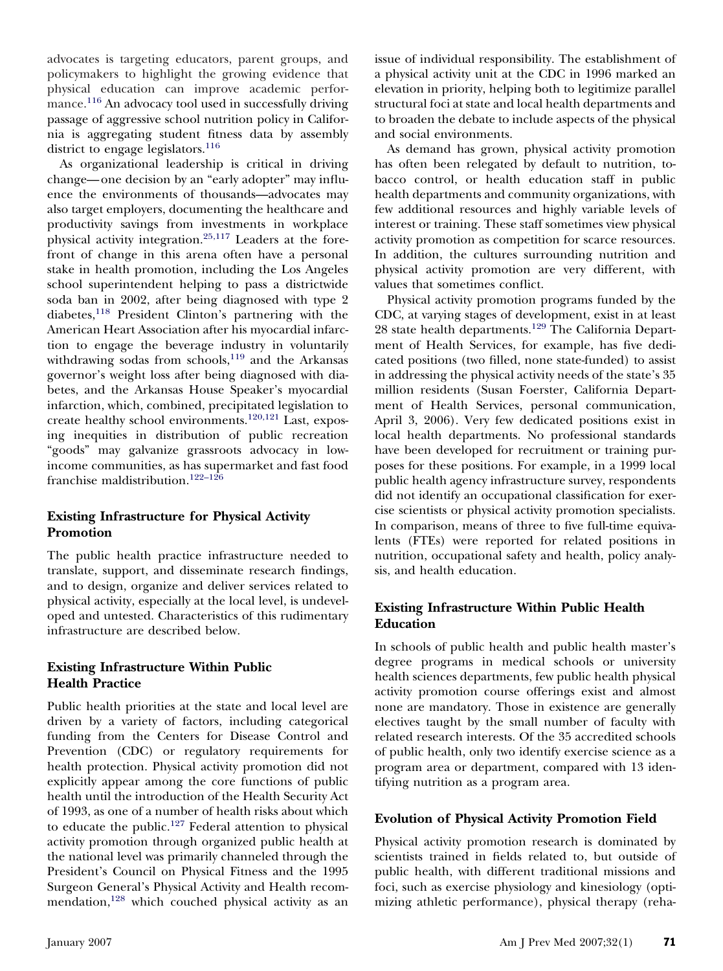advocates is targeting educators, parent groups, and policymakers to highlight the growing evidence that physical education can improve academic perfor-mance.<sup>[116](#page-9-0)</sup> An advocacy tool used in successfully driving passage of aggressive school nutrition policy in California is aggregating student fitness data by assembly district to engage legislators. $116$ 

As organizational leadership is critical in driving change— one decision by an "early adopter" may influence the environments of thousands—advocates may also target employers, documenting the healthcare and productivity savings from investments in workplace physical activity integration.[25,117](#page-7-0) Leaders at the forefront of change in this arena often have a personal stake in health promotion, including the Los Angeles school superintendent helping to pass a districtwide soda ban in 2002, after being diagnosed with type 2 diabetes,<sup>[118](#page-9-0)</sup> President Clinton's partnering with the American Heart Association after his myocardial infarction to engage the beverage industry in voluntarily withdrawing sodas from schools, $^{119}$  $^{119}$  $^{119}$  and the Arkansas governor's weight loss after being diagnosed with diabetes, and the Arkansas House Speaker's myocardial infarction, which, combined, precipitated legislation to create healthy school environments.[120,121](#page-9-0) Last, exposing inequities in distribution of public recreation "goods" may galvanize grassroots advocacy in lowincome communities, as has supermarket and fast food franchise maldistribution.[122–126](#page-9-0)

#### **Existing Infrastructure for Physical Activity Promotion**

The public health practice infrastructure needed to translate, support, and disseminate research findings, and to design, organize and deliver services related to physical activity, especially at the local level, is undeveloped and untested. Characteristics of this rudimentary infrastructure are described below.

#### **Existing Infrastructure Within Public Health Practice**

Public health priorities at the state and local level are driven by a variety of factors, including categorical funding from the Centers for Disease Control and Prevention (CDC) or regulatory requirements for health protection. Physical activity promotion did not explicitly appear among the core functions of public health until the introduction of the Health Security Act of 1993, as one of a number of health risks about which to educate the public.<sup>[127](#page-9-0)</sup> Federal attention to physical activity promotion through organized public health at the national level was primarily channeled through the President's Council on Physical Fitness and the 1995 Surgeon General's Physical Activity and Health recommendation, $128$  which couched physical activity as an

issue of individual responsibility. The establishment of a physical activity unit at the CDC in 1996 marked an elevation in priority, helping both to legitimize parallel structural foci at state and local health departments and to broaden the debate to include aspects of the physical and social environments.

As demand has grown, physical activity promotion has often been relegated by default to nutrition, tobacco control, or health education staff in public health departments and community organizations, with few additional resources and highly variable levels of interest or training. These staff sometimes view physical activity promotion as competition for scarce resources. In addition, the cultures surrounding nutrition and physical activity promotion are very different, with values that sometimes conflict.

Physical activity promotion programs funded by the CDC, at varying stages of development, exist in at least 28 state health departments.[129](#page-9-0) The California Department of Health Services, for example, has five dedicated positions (two filled, none state-funded) to assist in addressing the physical activity needs of the state's 35 million residents (Susan Foerster, California Department of Health Services, personal communication, April 3, 2006). Very few dedicated positions exist in local health departments. No professional standards have been developed for recruitment or training purposes for these positions. For example, in a 1999 local public health agency infrastructure survey, respondents did not identify an occupational classification for exercise scientists or physical activity promotion specialists. In comparison, means of three to five full-time equivalents (FTEs) were reported for related positions in nutrition, occupational safety and health, policy analysis, and health education.

# **Existing Infrastructure Within Public Health Education**

In schools of public health and public health master's degree programs in medical schools or university health sciences departments, few public health physical activity promotion course offerings exist and almost none are mandatory. Those in existence are generally electives taught by the small number of faculty with related research interests. Of the 35 accredited schools of public health, only two identify exercise science as a program area or department, compared with 13 identifying nutrition as a program area.

#### **Evolution of Physical Activity Promotion Field**

Physical activity promotion research is dominated by scientists trained in fields related to, but outside of public health, with different traditional missions and foci, such as exercise physiology and kinesiology (optimizing athletic performance), physical therapy (reha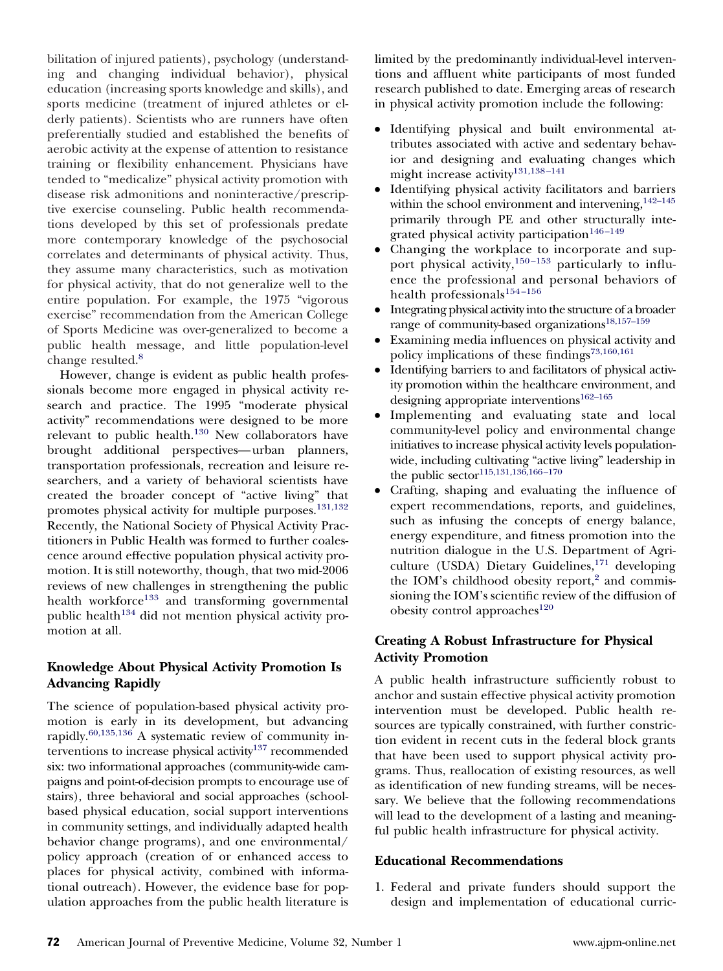bilitation of injured patients), psychology (understanding and changing individual behavior), physical education (increasing sports knowledge and skills), and sports medicine (treatment of injured athletes or elderly patients). Scientists who are runners have often preferentially studied and established the benefits of aerobic activity at the expense of attention to resistance training or flexibility enhancement. Physicians have tended to "medicalize" physical activity promotion with disease risk admonitions and noninteractive/prescriptive exercise counseling. Public health recommendations developed by this set of professionals predate more contemporary knowledge of the psychosocial correlates and determinants of physical activity. Thus, they assume many characteristics, such as motivation for physical activity, that do not generalize well to the entire population. For example, the 1975 "vigorous exercise" recommendation from the American College of Sports Medicine was over-generalized to become a public health message, and little population-level change resulted.<sup>[8](#page-7-0)</sup>

However, change is evident as public health professionals become more engaged in physical activity research and practice. The 1995 "moderate physical activity" recommendations were designed to be more relevant to public health.<sup>[130](#page-9-0)</sup> New collaborators have brought additional perspectives— urban planners, transportation professionals, recreation and leisure researchers, and a variety of behavioral scientists have created the broader concept of "active living" that promotes physical activity for multiple purposes.[131,132](#page-9-0) Recently, the National Society of Physical Activity Practitioners in Public Health was formed to further coalescence around effective population physical activity promotion. It is still noteworthy, though, that two mid-2006 reviews of new challenges in strengthening the public health workforce<sup>[133](#page-9-0)</sup> and transforming governmental public health<sup>[134](#page-9-0)</sup> did not mention physical activity promotion at all.

# **Knowledge About Physical Activity Promotion Is Advancing Rapidly**

The science of population-based physical activity promotion is early in its development, but advancing rapidly.[60,135,136](#page-8-0) A systematic review of community interventions to increase physical activity<sup>137</sup> recommended six: two informational approaches (community-wide campaigns and point-of-decision prompts to encourage use of stairs), three behavioral and social approaches (schoolbased physical education, social support interventions in community settings, and individually adapted health behavior change programs), and one environmental/ policy approach (creation of or enhanced access to places for physical activity, combined with informational outreach). However, the evidence base for population approaches from the public health literature is limited by the predominantly individual-level interventions and affluent white participants of most funded research published to date. Emerging areas of research in physical activity promotion include the following:

- Identifying physical and built environmental attributes associated with active and sedentary behavior and designing and evaluating changes which might increase activity<sup>131,138-141</sup>
- Identifying physical activity facilitators and barriers within the school environment and intervening,  $142-145$ primarily through PE and other structurally integrated physical activity participation<sup>146-149</sup>
- Changing the workplace to incorporate and support physical activity,  $150 - 153$  particularly to influence the professional and personal behaviors of health professionals<sup>154-156</sup>
- Integrating physical activity into the structure of a broader range of community-based organizations<sup>18,157-159</sup>
- Examining media influences on physical activity and policy implications of these findings<sup>[73,160,161](#page-8-0)</sup>
- Identifying barriers to and facilitators of physical activity promotion within the healthcare environment, and designing appropriate interventions<sup>162-165</sup>
- Implementing and evaluating state and local community-level policy and environmental change initiatives to increase physical activity levels populationwide, including cultivating "active living" leadership in the public sector<sup>115,131,136,166-170</sup>
- Crafting, shaping and evaluating the influence of expert recommendations, reports, and guidelines, such as infusing the concepts of energy balance, energy expenditure, and fitness promotion into the nutrition dialogue in the U.S. Department of Agri-culture (USDA) Dietary Guidelines,<sup>[171](#page-10-0)</sup> developing the IOM's childhood obesity report, $2$  and commissioning the IOM's scientific review of the diffusion of obesity control approaches<sup>[120](#page-9-0)</sup>

#### **Creating A Robust Infrastructure for Physical Activity Promotion**

A public health infrastructure sufficiently robust to anchor and sustain effective physical activity promotion intervention must be developed. Public health resources are typically constrained, with further constriction evident in recent cuts in the federal block grants that have been used to support physical activity programs. Thus, reallocation of existing resources, as well as identification of new funding streams, will be necessary. We believe that the following recommendations will lead to the development of a lasting and meaningful public health infrastructure for physical activity.

#### **Educational Recommendations**

1. Federal and private funders should support the design and implementation of educational curric-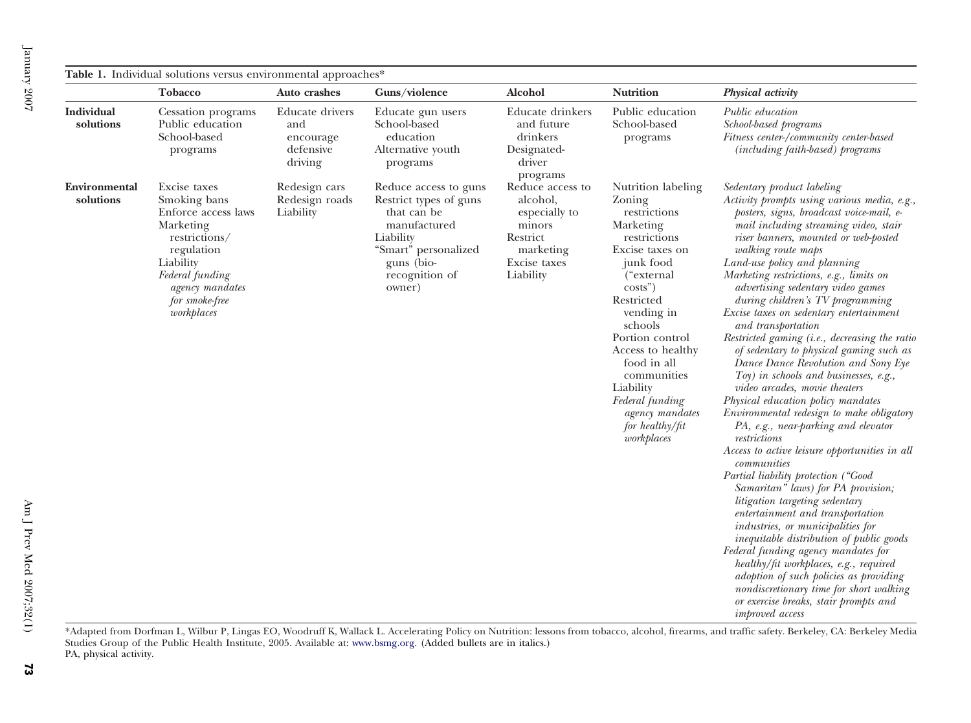<span id="page-5-0"></span>

| Table 1. Individual solutions versus environmental approaches* |                                                                                                                                                                                    |                                                             |                                                                                                                                                               |                                                                                                               |                                                                                                                                                                                                                                                                                                                                       |                                                                                                                                                                                                                                                                                                                                                                                                                                                                                                                                                                                                                                                                                                                                                                                                                                                                                                                                                                                                                                                                                                                                                                                                                                                                                                                                                          |
|----------------------------------------------------------------|------------------------------------------------------------------------------------------------------------------------------------------------------------------------------------|-------------------------------------------------------------|---------------------------------------------------------------------------------------------------------------------------------------------------------------|---------------------------------------------------------------------------------------------------------------|---------------------------------------------------------------------------------------------------------------------------------------------------------------------------------------------------------------------------------------------------------------------------------------------------------------------------------------|----------------------------------------------------------------------------------------------------------------------------------------------------------------------------------------------------------------------------------------------------------------------------------------------------------------------------------------------------------------------------------------------------------------------------------------------------------------------------------------------------------------------------------------------------------------------------------------------------------------------------------------------------------------------------------------------------------------------------------------------------------------------------------------------------------------------------------------------------------------------------------------------------------------------------------------------------------------------------------------------------------------------------------------------------------------------------------------------------------------------------------------------------------------------------------------------------------------------------------------------------------------------------------------------------------------------------------------------------------|
|                                                                | <b>Tobacco</b>                                                                                                                                                                     | Auto crashes                                                | Guns/violence                                                                                                                                                 | <b>Alcohol</b>                                                                                                | <b>Nutrition</b>                                                                                                                                                                                                                                                                                                                      | Physical activity                                                                                                                                                                                                                                                                                                                                                                                                                                                                                                                                                                                                                                                                                                                                                                                                                                                                                                                                                                                                                                                                                                                                                                                                                                                                                                                                        |
| Individual<br>solutions                                        | Cessation programs<br>Public education<br>School-based<br>programs                                                                                                                 | Educate drivers<br>and<br>encourage<br>defensive<br>driving | Educate gun users<br>School-based<br>education<br>Alternative youth<br>programs                                                                               | Educate drinkers<br>and future<br>drinkers<br>Designated-<br>driver<br>programs                               | Public education<br>School-based<br>programs                                                                                                                                                                                                                                                                                          | Public education<br>School-based programs<br>Fitness center-/community center-based<br>(including faith-based) programs                                                                                                                                                                                                                                                                                                                                                                                                                                                                                                                                                                                                                                                                                                                                                                                                                                                                                                                                                                                                                                                                                                                                                                                                                                  |
| Environmental<br>solutions                                     | Excise taxes<br>Smoking bans<br>Enforce access laws<br>Marketing<br>restrictions/<br>regulation<br>Liability<br>Federal funding<br>agency mandates<br>for smoke-free<br>workplaces | Redesign cars<br>Redesign roads<br>Liability                | Reduce access to guns<br>Restrict types of guns<br>that can be<br>manufactured<br>Liability<br>"Smart" personalized<br>guns (bio-<br>recognition of<br>owner) | Reduce access to<br>alcohol,<br>especially to<br>minors<br>Restrict<br>marketing<br>Excise taxes<br>Liability | Nutrition labeling<br>Zoning<br>restrictions<br>Marketing<br>restrictions<br>Excise taxes on<br>junk food<br>("external<br>$costs$ "<br>Restricted<br>vending in<br>schools<br>Portion control<br>Access to healthy<br>food in all<br>communities<br>Liability<br>Federal funding<br>agency mandates<br>for healthy/fit<br>workplaces | Sedentary product labeling<br>Activity prompts using various media, e.g.,<br>posters, signs, broadcast voice-mail, e-<br>mail including streaming video, stair<br>riser banners, mounted or web-posted<br>walking route maps<br>Land-use policy and planning<br>Marketing restrictions, e.g., limits on<br>advertising sedentary video games<br>during children's TV programming<br>Excise taxes on sedentary entertainment<br>and transportation<br>Restricted gaming (i.e., decreasing the ratio<br>of sedentary to physical gaming such as<br>Dance Dance Revolution and Sony Eye<br>$Toy$ ) in schools and businesses, e.g.,<br>video arcades, movie theaters<br>Physical education policy mandates<br>Environmental redesign to make obligatory<br>PA, e.g., near-parking and elevator<br>restrictions<br>Access to active leisure opportunities in all<br>communities<br>Partial liability protection ("Good<br>Samaritan" laws) for PA provision;<br>litigation targeting sedentary<br>entertainment and transportation<br>industries, or municipalities for<br>inequitable distribution of public goods<br>Federal funding agency mandates for<br>healthy/fit workplaces, e.g., required<br>adoption of such policies as providing<br>nondiscretionary time for short walking<br>or exercise breaks, stair prompts and<br><i>improved</i> access |

\*Adapted from Dorfman L, Wilbur P, Lingas EO, Woodruff K, Wallack L. Accelerating Policy on Nutrition: lessons from tobacco, alcohol, firearms, and traffic safety. Berkeley, CA: Berkeley Media Studies Group of the Public Health Institute, 2005. Available at: [www.bsmg.org](http://www.bsmg.org). (Added bullets are in italics.) PA, physical activity.

73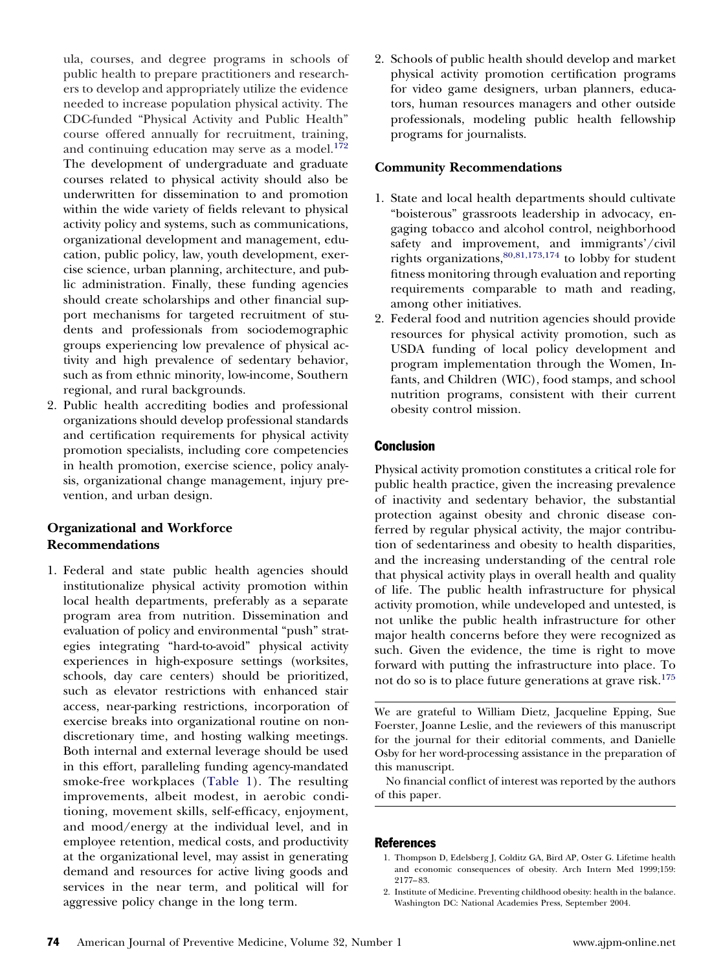<span id="page-6-0"></span>ula, courses, and degree programs in schools of public health to prepare practitioners and researchers to develop and appropriately utilize the evidence needed to increase population physical activity. The CDC-funded "Physical Activity and Public Health" course offered annually for recruitment, training, and continuing education may serve as a model.<sup>[172](#page-10-0)</sup> The development of undergraduate and graduate courses related to physical activity should also be underwritten for dissemination to and promotion within the wide variety of fields relevant to physical activity policy and systems, such as communications, organizational development and management, education, public policy, law, youth development, exercise science, urban planning, architecture, and public administration. Finally, these funding agencies should create scholarships and other financial support mechanisms for targeted recruitment of students and professionals from sociodemographic groups experiencing low prevalence of physical activity and high prevalence of sedentary behavior, such as from ethnic minority, low-income, Southern regional, and rural backgrounds.

2. Public health accrediting bodies and professional organizations should develop professional standards and certification requirements for physical activity promotion specialists, including core competencies in health promotion, exercise science, policy analysis, organizational change management, injury prevention, and urban design.

# **Organizational and Workforce Recommendations**

1. Federal and state public health agencies should institutionalize physical activity promotion within local health departments, preferably as a separate program area from nutrition. Dissemination and evaluation of policy and environmental "push" strategies integrating "hard-to-avoid" physical activity experiences in high-exposure settings (worksites, schools, day care centers) should be prioritized, such as elevator restrictions with enhanced stair access, near-parking restrictions, incorporation of exercise breaks into organizational routine on nondiscretionary time, and hosting walking meetings. Both internal and external leverage should be used in this effort, paralleling funding agency-mandated smoke-free workplaces [\(Table 1\)](#page-5-0). The resulting improvements, albeit modest, in aerobic conditioning, movement skills, self-efficacy, enjoyment, and mood/energy at the individual level, and in employee retention, medical costs, and productivity at the organizational level, may assist in generating demand and resources for active living goods and services in the near term, and political will for aggressive policy change in the long term.

2. Schools of public health should develop and market physical activity promotion certification programs for video game designers, urban planners, educators, human resources managers and other outside professionals, modeling public health fellowship programs for journalists.

#### **Community Recommendations**

- 1. State and local health departments should cultivate "boisterous" grassroots leadership in advocacy, engaging tobacco and alcohol control, neighborhood safety and improvement, and immigrants'/civil rights organizations,  $80,81,173,174$  to lobby for student fitness monitoring through evaluation and reporting requirements comparable to math and reading, among other initiatives.
- 2. Federal food and nutrition agencies should provide resources for physical activity promotion, such as USDA funding of local policy development and program implementation through the Women, Infants, and Children (WIC), food stamps, and school nutrition programs, consistent with their current obesity control mission.

#### **Conclusion**

Physical activity promotion constitutes a critical role for public health practice, given the increasing prevalence of inactivity and sedentary behavior, the substantial protection against obesity and chronic disease conferred by regular physical activity, the major contribution of sedentariness and obesity to health disparities, and the increasing understanding of the central role that physical activity plays in overall health and quality of life. The public health infrastructure for physical activity promotion, while undeveloped and untested, is not unlike the public health infrastructure for other major health concerns before they were recognized as such. Given the evidence, the time is right to move forward with putting the infrastructure into place. To not do so is to place future generations at grave risk.<sup>[175](#page-10-0)</sup>

We are grateful to William Dietz, Jacqueline Epping, Sue Foerster, Joanne Leslie, and the reviewers of this manuscript for the journal for their editorial comments, and Danielle Osby for her word-processing assistance in the preparation of this manuscript.

No financial conflict of interest was reported by the authors of this paper.

#### References

- 1. Thompson D, Edelsberg J, Colditz GA, Bird AP, Oster G. Lifetime health and economic consequences of obesity. Arch Intern Med 1999;159: 2177– 83.
- 2. Institute of Medicine. Preventing childhood obesity: health in the balance. Washington DC: National Academies Press, September 2004.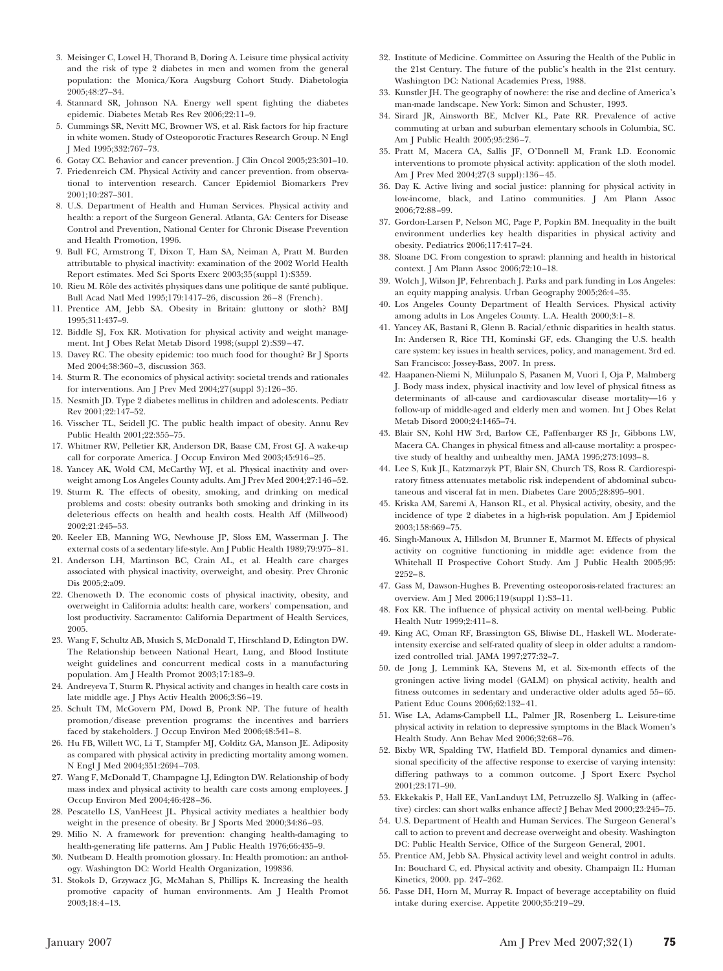- <span id="page-7-0"></span>3. Meisinger C, Lowel H, Thorand B, Doring A. Leisure time physical activity and the risk of type 2 diabetes in men and women from the general population: the Monica/Kora Augsburg Cohort Study. Diabetologia 2005;48:27–34.
- 4. Stannard SR, Johnson NA. Energy well spent fighting the diabetes epidemic. Diabetes Metab Res Rev 2006;22:11–9.
- 5. Cummings SR, Nevitt MC, Browner WS, et al. Risk factors for hip fracture in white women. Study of Osteoporotic Fractures Research Group. N Engl J Med 1995;332:767–73.
- 6. Gotay CC. Behavior and cancer prevention. J Clin Oncol 2005;23:301–10.
- 7. Friedenreich CM. Physical Activity and cancer prevention. from observational to intervention research. Cancer Epidemiol Biomarkers Prev 2001;10:287–301.
- 8. U.S. Department of Health and Human Services. Physical activity and health: a report of the Surgeon General. Atlanta, GA: Centers for Disease Control and Prevention, National Center for Chronic Disease Prevention and Health Promotion, 1996.
- 9. Bull FC, Armstrong T, Dixon T, Ham SA, Neiman A, Pratt M. Burden attributable to physical inactivity: examination of the 2002 World Health Report estimates. Med Sci Sports Exerc 2003;35(suppl 1):S359.
- 10. Rieu M. Rôle des activités physiques dans une politique de santé publique. Bull Acad Natl Med 1995;179:1417–26, discussion 26 – 8 (French).
- 11. Prentice AM, Jebb SA. Obesity in Britain: gluttony or sloth? BMJ 1995;311:437–9.
- 12. Biddle SJ, Fox KR. Motivation for physical activity and weight management. Int J Obes Relat Metab Disord 1998;(suppl 2):S39 – 47.
- 13. Davey RC. The obesity epidemic: too much food for thought? Br J Sports Med 2004;38:360 –3, discussion 363.
- 14. Sturm R. The economics of physical activity: societal trends and rationales for interventions. Am J Prev Med 2004;27(suppl 3):126 –35.
- 15. Nesmith JD. Type 2 diabetes mellitus in children and adolescents. Pediatr Rev 2001;22:147–52.
- 16. Visscher TL, Seidell JC. The public health impact of obesity. Annu Rev Public Health 2001;22:355–75.
- 17. Whitmer RW, Pelletier KR, Anderson DR, Baase CM, Frost GJ. A wake-up call for corporate America. J Occup Environ Med 2003;45:916 –25.
- 18. Yancey AK, Wold CM, McCarthy WJ, et al. Physical inactivity and overweight among Los Angeles County adults. Am J Prev Med 2004;27:146 –52.
- 19. Sturm R. The effects of obesity, smoking, and drinking on medical problems and costs: obesity outranks both smoking and drinking in its deleterious effects on health and health costs. Health Aff (Millwood) 2002;21:245–53.
- 20. Keeler EB, Manning WG, Newhouse JP, Sloss EM, Wasserman J. The external costs of a sedentary life-style. Am J Public Health 1989;79:975– 81.
- 21. Anderson LH, Martinson BC, Crain AL, et al. Health care charges associated with physical inactivity, overweight, and obesity. Prev Chronic Dis 2005;2:a09.
- 22. Chenoweth D. The economic costs of physical inactivity, obesity, and overweight in California adults: health care, workers' compensation, and lost productivity. Sacramento: California Department of Health Services, 2005.
- 23. Wang F, Schultz AB, Musich S, McDonald T, Hirschland D, Edington DW. The Relationship between National Heart, Lung, and Blood Institute weight guidelines and concurrent medical costs in a manufacturing population. Am J Health Promot 2003;17:183–9.
- 24. Andreyeva T, Sturm R. Physical activity and changes in health care costs in late middle age. J Phys Activ Health 2006;3:S6 –19.
- 25. Schult TM, McGovern PM, Dowd B, Pronk NP. The future of health promotion/disease prevention programs: the incentives and barriers faced by stakeholders. J Occup Environ Med 2006;48:541-8.
- 26. Hu FB, Willett WC, Li T, Stampfer MJ, Colditz GA, Manson JE. Adiposity as compared with physical activity in predicting mortality among women. N Engl J Med 2004;351:2694 –703.
- 27. Wang F, McDonald T, Champagne LJ, Edington DW. Relationship of body mass index and physical activity to health care costs among employees. J Occup Environ Med 2004;46:428 –36.
- 28. Pescatello LS, VanHeest JL. Physical activity mediates a healthier body weight in the presence of obesity. Br J Sports Med 2000;34:86 –93.
- 29. Milio N. A framework for prevention: changing health-damaging to health-generating life patterns. Am J Public Health 1976;66:435–9.
- 30. Nutbeam D. Health promotion glossary. In: Health promotion: an anthology. Washington DC: World Health Organization, 199836.
- 31. Stokols D, Grzywacz JG, McMahan S, Phillips K. Increasing the health promotive capacity of human environments. Am J Health Promot 2003;18:4 –13.
- 32. Institute of Medicine. Committee on Assuring the Health of the Public in the 21st Century. The future of the public's health in the 21st century. Washington DC: National Academies Press, 1988.
- 33. Kunstler JH. The geography of nowhere: the rise and decline of America's man-made landscape. New York: Simon and Schuster, 1993.
- 34. Sirard JR, Ainsworth BE, McIver KL, Pate RR. Prevalence of active commuting at urban and suburban elementary schools in Columbia, SC. Am J Public Health 2005;95:236 –7.
- 35. Pratt M, Macera CA, Sallis JF, O'Donnell M, Frank LD. Economic interventions to promote physical activity: application of the sloth model. Am J Prev Med 2004;27(3 suppl):136-45.
- 36. Day K. Active living and social justice: planning for physical activity in low-income, black, and Latino communities. J Am Plann Assoc 2006;72:88 –99.
- 37. Gordon-Larsen P, Nelson MC, Page P, Popkin BM. Inequality in the built environment underlies key health disparities in physical activity and obesity. Pediatrics 2006;117:417–24.
- 38. Sloane DC. From congestion to sprawl: planning and health in historical context. J Am Plann Assoc 2006;72:10 –18.
- 39. Wolch J, Wilson JP, Fehrenbach J. Parks and park funding in Los Angeles: an equity mapping analysis. Urban Geography 2005;26:4 –35.
- 40. Los Angeles County Department of Health Services. Physical activity among adults in Los Angeles County. L.A. Health 2000;3:1-8.
- 41. Yancey AK, Bastani R, Glenn B. Racial/ethnic disparities in health status. In: Andersen R, Rice TH, Kominski GF, eds. Changing the U.S. health care system: key issues in health services, policy, and management. 3rd ed. San Francisco: Jossey-Bass, 2007. In press.
- 42. Haapanen-Niemi N, Miilunpalo S, Pasanen M, Vuori I, Oja P, Malmberg J. Body mass index, physical inactivity and low level of physical fitness as determinants of all-cause and cardiovascular disease mortality—16 y follow-up of middle-aged and elderly men and women. Int J Obes Relat Metab Disord 2000;24:1465–74.
- 43. Blair SN, Kohl HW 3rd, Barlow CE, Paffenbarger RS Jr, Gibbons LW, Macera CA. Changes in physical fitness and all-cause mortality: a prospective study of healthy and unhealthy men. JAMA 1995;273:1093– 8.
- 44. Lee S, Kuk JL, Katzmarzyk PT, Blair SN, Church TS, Ross R. Cardiorespiratory fitness attenuates metabolic risk independent of abdominal subcutaneous and visceral fat in men. Diabetes Care 2005;28:895–901.
- 45. Kriska AM, Saremi A, Hanson RL, et al. Physical activity, obesity, and the incidence of type 2 diabetes in a high-risk population. Am J Epidemiol 2003;158:669 –75.
- 46. Singh-Manoux A, Hillsdon M, Brunner E, Marmot M. Effects of physical activity on cognitive functioning in middle age: evidence from the Whitehall II Prospective Cohort Study. Am J Public Health 2005;95:  $2252 - 8.$
- 47. Gass M, Dawson-Hughes B. Preventing osteoporosis-related fractures: an overview. Am J Med 2006;119(suppl 1):S3–11.
- 48. Fox KR. The influence of physical activity on mental well-being. Public Health Nutr 1999:2:411-8.
- 49. King AC, Oman RF, Brassington GS, Bliwise DL, Haskell WL. Moderateintensity exercise and self-rated quality of sleep in older adults: a randomized controlled trial. JAMA 1997;277:32–7.
- 50. de Jong J, Lemmink KA, Stevens M, et al. Six-month effects of the groningen active living model (GALM) on physical activity, health and fitness outcomes in sedentary and underactive older adults aged 55-65. Patient Educ Couns 2006;62:132– 41.
- 51. Wise LA, Adams-Campbell LL, Palmer JR, Rosenberg L. Leisure-time physical activity in relation to depressive symptoms in the Black Women's Health Study. Ann Behav Med 2006;32:68 –76.
- 52. Bixby WR, Spalding TW, Hatfield BD. Temporal dynamics and dimensional specificity of the affective response to exercise of varying intensity: differing pathways to a common outcome. J Sport Exerc Psychol 2001;23:171–90.
- 53. Ekkekakis P, Hall EE, VanLanduyt LM, Petruzzello SJ. Walking in (affective) circles: can short walks enhance affect? J Behav Med 2000;23:245–75.
- 54. U.S. Department of Health and Human Services. The Surgeon General's call to action to prevent and decrease overweight and obesity. Washington DC: Public Health Service, Office of the Surgeon General, 2001.
- 55. Prentice AM, Jebb SA. Physical activity level and weight control in adults. In: Bouchard C, ed. Physical activity and obesity. Champaign IL: Human Kinetics, 2000. pp. 247–262.
- 56. Passe DH, Horn M, Murray R. Impact of beverage acceptability on fluid intake during exercise. Appetite 2000;35:219 –29.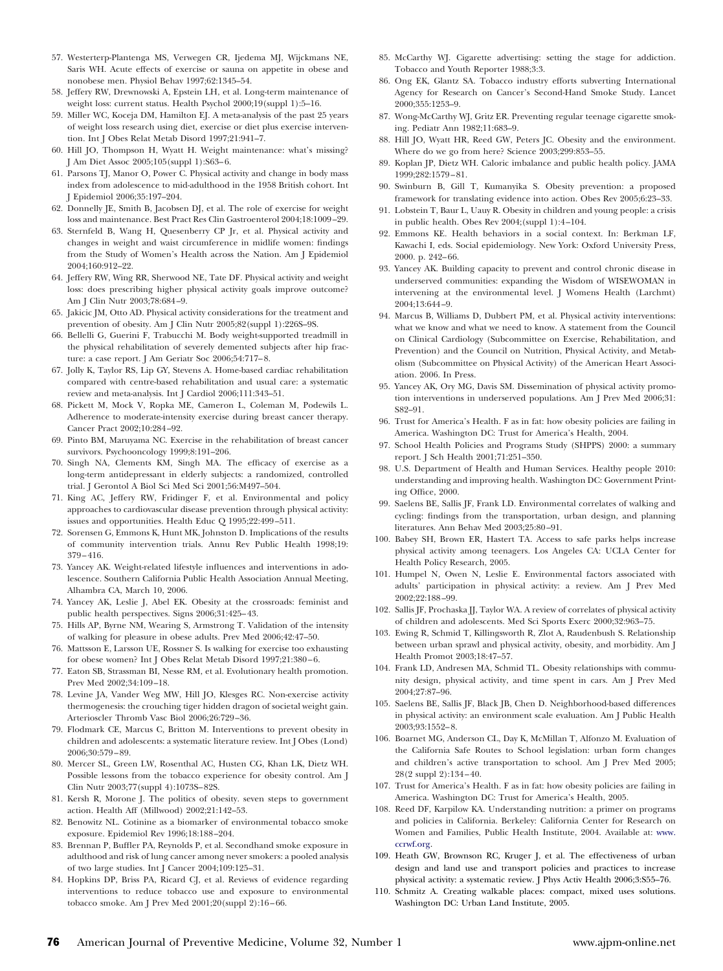- <span id="page-8-0"></span>57. Westerterp-Plantenga MS, Verwegen CR, Ijedema MJ, Wijckmans NE, Saris WH. Acute effects of exercise or sauna on appetite in obese and nonobese men. Physiol Behav 1997;62:1345–54.
- 58. Jeffery RW, Drewnowski A, Epstein LH, et al. Long-term maintenance of weight loss: current status. Health Psychol 2000;19(suppl 1):5–16.
- 59. Miller WC, Koceja DM, Hamilton EJ. A meta-analysis of the past 25 years of weight loss research using diet, exercise or diet plus exercise intervention. Int J Obes Relat Metab Disord 1997;21:941–7.
- 60. Hill JO, Thompson H, Wyatt H. Weight maintenance: what's missing? J Am Diet Assoc 2005;105(suppl 1):S63– 6.
- 61. Parsons TJ, Manor O, Power C. Physical activity and change in body mass index from adolescence to mid-adulthood in the 1958 British cohort. Int J Epidemiol 2006;35:197–204.
- 62. Donnelly JE, Smith B, Jacobsen DJ, et al. The role of exercise for weight loss and maintenance. Best Pract Res Clin Gastroenterol 2004;18:1009 –29.
- 63. Sternfeld B, Wang H, Quesenberry CP Jr, et al. Physical activity and changes in weight and waist circumference in midlife women: findings from the Study of Women's Health across the Nation. Am J Epidemiol 2004;160:912–22.
- 64. Jeffery RW, Wing RR, Sherwood NE, Tate DF. Physical activity and weight loss: does prescribing higher physical activity goals improve outcome? Am J Clin Nutr 2003;78:684 –9.
- 65. Jakicic JM, Otto AD. Physical activity considerations for the treatment and prevention of obesity. Am J Clin Nutr 2005;82(suppl 1):226S–9S.
- 66. Bellelli G, Guerini F, Trabucchi M. Body weight-supported treadmill in the physical rehabilitation of severely demented subjects after hip fracture: a case report. J Am Geriatr Soc 2006;54:717-8.
- 67. Jolly K, Taylor RS, Lip GY, Stevens A. Home-based cardiac rehabilitation compared with centre-based rehabilitation and usual care: a systematic review and meta-analysis. Int J Cardiol 2006;111:343–51.
- 68. Pickett M, Mock V, Ropka ME, Cameron L, Coleman M, Podewils L. Adherence to moderate-intensity exercise during breast cancer therapy. Cancer Pract 2002;10:284 –92.
- 69. Pinto BM, Maruyama NC. Exercise in the rehabilitation of breast cancer survivors. Psychooncology 1999;8:191–206.
- 70. Singh NA, Clements KM, Singh MA. The efficacy of exercise as a long-term antidepressant in elderly subjects: a randomized, controlled trial. J Gerontol A Biol Sci Med Sci 2001;56:M497–504.
- 71. King AC, Jeffery RW, Fridinger F, et al. Environmental and policy approaches to cardiovascular disease prevention through physical activity: issues and opportunities. Health Educ Q 1995;22:499 –511.
- 72. Sorensen G, Emmons K, Hunt MK, Johnston D. Implications of the results of community intervention trials. Annu Rev Public Health 1998;19: 379 – 416.
- 73. Yancey AK. Weight-related lifestyle influences and interventions in adolescence. Southern California Public Health Association Annual Meeting, Alhambra CA, March 10, 2006.
- 74. Yancey AK, Leslie J, Abel EK. Obesity at the crossroads: feminist and public health perspectives. Signs 2006;31:425– 43.
- 75. Hills AP, Byrne NM, Wearing S, Armstrong T. Validation of the intensity of walking for pleasure in obese adults. Prev Med 2006;42:47–50.
- 76. Mattsson E, Larsson UE, Rossner S. Is walking for exercise too exhausting for obese women? Int J Obes Relat Metab Disord 1997;21:380-6.
- 77. Eaton SB, Strassman BI, Nesse RM, et al. Evolutionary health promotion. Prev Med 2002;34:109 –18.
- 78. Levine JA, Vander Weg MW, Hill JO, Klesges RC. Non-exercise activity thermogenesis: the crouching tiger hidden dragon of societal weight gain. Arterioscler Thromb Vasc Biol 2006;26:729 –36.
- 79. Flodmark CE, Marcus C, Britton M. Interventions to prevent obesity in children and adolescents: a systematic literature review. Int J Obes (Lond) 2006;30:579 – 89.
- 80. Mercer SL, Green LW, Rosenthal AC, Husten CG, Khan LK, Dietz WH. Possible lessons from the tobacco experience for obesity control. Am J Clin Nutr 2003;77(suppl 4):1073S– 82S.
- 81. Kersh R, Morone J. The politics of obesity. seven steps to government action. Health Aff (Millwood) 2002;21:142–53.
- 82. Benowitz NL. Cotinine as a biomarker of environmental tobacco smoke exposure. Epidemiol Rev 1996;18:188 –204.
- 83. Brennan P, Buffler PA, Reynolds P, et al. Secondhand smoke exposure in adulthood and risk of lung cancer among never smokers: a pooled analysis of two large studies. Int J Cancer 2004;109:125–31.
- 84. Hopkins DP, Briss PA, Ricard CJ, et al. Reviews of evidence regarding interventions to reduce tobacco use and exposure to environmental tobacco smoke. Am J Prev Med 2001;20(suppl 2):16 – 66.
- 85. McCarthy WJ. Cigarette advertising: setting the stage for addiction. Tobacco and Youth Reporter 1988;3:3.
- 86. Ong EK, Glantz SA. Tobacco industry efforts subverting International Agency for Research on Cancer's Second-Hand Smoke Study. Lancet 2000;355:1253–9.
- 87. Wong-McCarthy WJ, Gritz ER. Preventing regular teenage cigarette smoking. Pediatr Ann 1982;11:683–9.
- 88. Hill JO, Wyatt HR, Reed GW, Peters JC. Obesity and the environment. Where do we go from here? Science 2003;299:853–55.
- 89. Koplan JP, Dietz WH. Caloric imbalance and public health policy. JAMA 1999;282:1579 – 81.
- 90. Swinburn B, Gill T, Kumanyika S. Obesity prevention: a proposed framework for translating evidence into action. Obes Rev 2005;6:23–33.
- 91. Lobstein T, Baur L, Uauy R. Obesity in children and young people: a crisis in public health. Obes Rev 2004;(suppl 1):4 –104.
- 92. Emmons KE. Health behaviors in a social context. In: Berkman LF, Kawachi I, eds. Social epidemiology. New York: Oxford University Press, 2000. p. 242– 66.
- 93. Yancey AK. Building capacity to prevent and control chronic disease in underserved communities: expanding the Wisdom of WISEWOMAN in intervening at the environmental level. J Womens Health (Larchmt) 2004;13:644 –9.
- 94. Marcus B, Williams D, Dubbert PM, et al. Physical activity interventions: what we know and what we need to know. A statement from the Council on Clinical Cardiology (Subcommittee on Exercise, Rehabilitation, and Prevention) and the Council on Nutrition, Physical Activity, and Metabolism (Subcommittee on Physical Activity) of the American Heart Association. 2006. In Press.
- 95. Yancey AK, Ory MG, Davis SM. Dissemination of physical activity promotion interventions in underserved populations. Am J Prev Med 2006;31: S82–91.
- 96. Trust for America's Health. F as in fat: how obesity policies are failing in America. Washington DC: Trust for America's Health, 2004.
- 97. School Health Policies and Programs Study (SHPPS) 2000: a summary report. J Sch Health 2001;71:251–350.
- 98. U.S. Department of Health and Human Services. Healthy people 2010: understanding and improving health. Washington DC: Government Printing Office, 2000.
- 99. Saelens BE, Sallis JF, Frank LD. Environmental correlates of walking and cycling: findings from the transportation, urban design, and planning literatures. Ann Behav Med 2003;25:80 –91.
- 100. Babey SH, Brown ER, Hastert TA. Access to safe parks helps increase physical activity among teenagers. Los Angeles CA: UCLA Center for Health Policy Research, 2005.
- 101. Humpel N, Owen N, Leslie E. Environmental factors associated with adults' participation in physical activity: a review. Am J Prev Med 2002;22:188 –99.
- 102. Sallis JF, Prochaska JJ, Taylor WA. A review of correlates of physical activity of children and adolescents. Med Sci Sports Exerc 2000;32:963–75.
- 103. Ewing R, Schmid T, Killingsworth R, Zlot A, Raudenbush S. Relationship between urban sprawl and physical activity, obesity, and morbidity. Am J Health Promot 2003;18:47–57.
- 104. Frank LD, Andresen MA, Schmid TL. Obesity relationships with community design, physical activity, and time spent in cars. Am J Prev Med 2004;27:87–96.
- 105. Saelens BE, Sallis JF, Black JB, Chen D. Neighborhood-based differences in physical activity: an environment scale evaluation. Am J Public Health 2003;93:1552– 8.
- 106. Boarnet MG, Anderson CL, Day K, McMillan T, Alfonzo M. Evaluation of the California Safe Routes to School legislation: urban form changes and children's active transportation to school. Am J Prev Med 2005; 28(2 suppl 2):134 – 40.
- 107. Trust for America's Health. F as in fat: how obesity policies are failing in America. Washington DC: Trust for America's Health, 2005.
- 108. Reed DF, Karpilow KA. Understanding nutrition: a primer on programs and policies in California. Berkeley: California Center for Research on Women and Families, Public Health Institute, 2004. Available at: [www.](http://www.ccrwf.org) [ccrwf.org.](http://www.ccrwf.org)
- 109. Heath GW, Brownson RC, Kruger J, et al. The effectiveness of urban design and land use and transport policies and practices to increase physical activity: a systematic review. J Phys Activ Health 2006;3:S55–76.
- 110. Schmitz A. Creating walkable places: compact, mixed uses solutions. Washington DC: Urban Land Institute, 2005.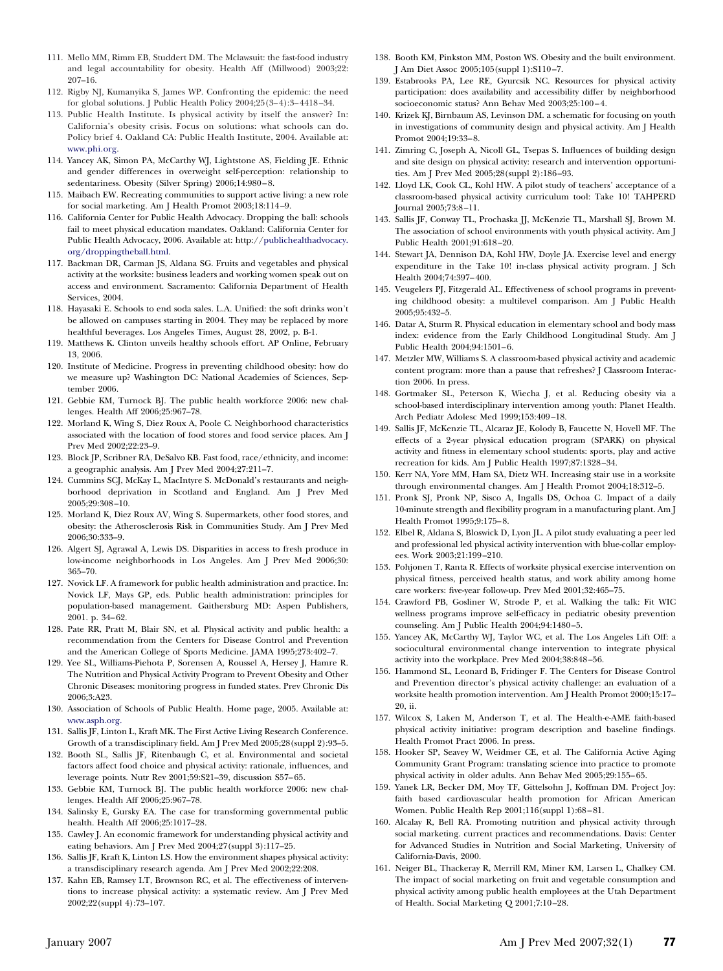- <span id="page-9-0"></span>111. Mello MM, Rimm EB, Studdert DM. The Mclawsuit: the fast-food industry and legal accountability for obesity. Health Aff (Millwood) 2003;22: 207–16.
- 112. Rigby NJ, Kumanyika S, James WP. Confronting the epidemic: the need for global solutions. J Public Health Policy 2004;25(3– 4):3– 4418 –34.
- 113. Public Health Institute. Is physical activity by itself the answer? In: California's obesity crisis. Focus on solutions: what schools can do. Policy brief 4. Oakland CA: Public Health Institute, 2004. Available at: [www.phi.org.](http://www.phi.org)
- 114. Yancey AK, Simon PA, McCarthy WJ, Lightstone AS, Fielding JE. Ethnic and gender differences in overweight self-perception: relationship to sedentariness. Obesity (Silver Spring) 2006;14:980-8.
- 115. Maibach EW. Recreating communities to support active living: a new role for social marketing. Am J Health Promot 2003;18:114 –9.
- 116. California Center for Public Health Advocacy. Dropping the ball: schools fail to meet physical education mandates. Oakland: California Center for Public Health Advocacy, 2006. Available at: http:/[/publichealthadvocacy.](http://publichealthadvocacy.org/droppingtheball.html) [org/droppingtheball.html.](http://publichealthadvocacy.org/droppingtheball.html)
- 117. Backman DR, Carman JS, Aldana SG. Fruits and vegetables and physical activity at the worksite: business leaders and working women speak out on access and environment. Sacramento: California Department of Health Services, 2004.
- 118. Hayasaki E. Schools to end soda sales. L.A. Unified: the soft drinks won't be allowed on campuses starting in 2004. They may be replaced by more healthful beverages. Los Angeles Times, August 28, 2002, p. B-1.
- 119. Matthews K. Clinton unveils healthy schools effort. AP Online, February 13, 2006.
- 120. Institute of Medicine. Progress in preventing childhood obesity: how do we measure up? Washington DC: National Academies of Sciences, September 2006.
- 121. Gebbie KM, Turnock BJ. The public health workforce 2006: new challenges. Health Aff 2006;25:967–78.
- 122. Morland K, Wing S, Diez Roux A, Poole C. Neighborhood characteristics associated with the location of food stores and food service places. Am J Prev Med 2002;22:23–9.
- 123. Block JP, Scribner RA, DeSalvo KB. Fast food, race/ethnicity, and income: a geographic analysis. Am J Prev Med 2004;27:211–7.
- 124. Cummins SCJ, McKay L, MacIntyre S. McDonald's restaurants and neighborhood deprivation in Scotland and England. Am J Prev Med 2005;29:308 –10.
- 125. Morland K, Diez Roux AV, Wing S. Supermarkets, other food stores, and obesity: the Atherosclerosis Risk in Communities Study. Am J Prev Med 2006;30:333–9.
- 126. Algert SJ, Agrawal A, Lewis DS. Disparities in access to fresh produce in low-income neighborhoods in Los Angeles. Am J Prev Med 2006;30: 365–70.
- 127. Novick LF. A framework for public health administration and practice. In: Novick LF, Mays GP, eds. Public health administration: principles for population-based management. Gaithersburg MD: Aspen Publishers, 2001. p. 34– 62.
- 128. Pate RR, Pratt M, Blair SN, et al. Physical activity and public health: a recommendation from the Centers for Disease Control and Prevention and the American College of Sports Medicine. JAMA 1995;273:402–7.
- 129. Yee SL, Williams-Piehota P, Sorensen A, Roussel A, Hersey J, Hamre R. The Nutrition and Physical Activity Program to Prevent Obesity and Other Chronic Diseases: monitoring progress in funded states. Prev Chronic Dis 2006;3:A23.
- 130. Association of Schools of Public Health. Home page, 2005. Available at: [www.asph.org.](http://www.asph.org)
- 131. Sallis JF, Linton L, Kraft MK. The First Active Living Research Conference. Growth of a transdisciplinary field. Am J Prev Med 2005;28(suppl 2):93–5.
- 132. Booth SL, Sallis JF, Ritenbaugh C, et al. Environmental and societal factors affect food choice and physical activity: rationale, influences, and leverage points. Nutr Rev 2001;59:S21–39, discussion S57– 65.
- 133. Gebbie KM, Turnock BJ. The public health workforce 2006: new challenges. Health Aff 2006;25:967–78.
- 134. Salinsky E, Gursky EA. The case for transforming governmental public health. Health Aff 2006;25:1017–28.
- 135. Cawley J. An economic framework for understanding physical activity and eating behaviors. Am J Prev Med 2004;27(suppl 3):117–25.
- 136. Sallis JF, Kraft K, Linton LS. How the environment shapes physical activity: a transdisciplinary research agenda. Am J Prev Med 2002;22:208.
- 137. Kahn EB, Ramsey LT, Brownson RC, et al. The effectiveness of interventions to increase physical activity: a systematic review. Am J Prev Med 2002;22(suppl 4):73–107.
- 138. Booth KM, Pinkston MM, Poston WS. Obesity and the built environment. J Am Diet Assoc 2005;105(suppl 1):S110 –7.
- 139. Estabrooks PA, Lee RE, Gyurcsik NC. Resources for physical activity participation: does availability and accessibility differ by neighborhood socioeconomic status? Ann Behav Med 2003;25:100-4.
- 140. Krizek KJ, Birnbaum AS, Levinson DM. a schematic for focusing on youth in investigations of community design and physical activity. Am J Health Promot 2004;19:33– 8.
- 141. Zimring C, Joseph A, Nicoll GL, Tsepas S. Influences of building design and site design on physical activity: research and intervention opportunities. Am J Prev Med 2005;28(suppl 2):186 –93.
- 142. Lloyd LK, Cook CL, Kohl HW. A pilot study of teachers' acceptance of a classroom-based physical activity curriculum tool: Take 10! TAHPERD Journal 2005;73:8 –11.
- 143. Sallis JF, Conway TL, Prochaska JJ, McKenzie TL, Marshall SJ, Brown M. The association of school environments with youth physical activity. Am J Public Health 2001;91:618 –20.
- 144. Stewart JA, Dennison DA, Kohl HW, Doyle JA. Exercise level and energy expenditure in the Take 10! in-class physical activity program. J Sch Health 2004;74:397– 400.
- 145. Veugelers PJ, Fitzgerald AL. Effectiveness of school programs in preventing childhood obesity: a multilevel comparison. Am J Public Health 2005;95:432–5.
- 146. Datar A, Sturm R. Physical education in elementary school and body mass index: evidence from the Early Childhood Longitudinal Study. Am J Public Health 2004:94:1501-6.
- 147. Metzler MW, Williams S. A classroom-based physical activity and academic content program: more than a pause that refreshes? J Classroom Interaction 2006. In press.
- 148. Gortmaker SL, Peterson K, Wiecha J, et al. Reducing obesity via a school-based interdisciplinary intervention among youth: Planet Health. Arch Pediatr Adolesc Med 1999;153:409 –18.
- 149. Sallis JF, McKenzie TL, Alcaraz JE, Kolody B, Faucette N, Hovell MF. The effects of a 2-year physical education program (SPARK) on physical activity and fitness in elementary school students: sports, play and active recreation for kids. Am J Public Health 1997;87:1328 –34.
- 150. Kerr NA, Yore MM, Ham SA, Dietz WH. Increasing stair use in a worksite through environmental changes. Am J Health Promot 2004;18:312–5.
- 151. Pronk SJ, Pronk NP, Sisco A, Ingalls DS, Ochoa C. Impact of a daily 10-minute strength and flexibility program in a manufacturing plant. Am J Health Promot 1995;9:175-8.
- 152. Elbel R, Aldana S, Bloswick D, Lyon JL. A pilot study evaluating a peer led and professional led physical activity intervention with blue-collar employees. Work 2003;21:199 –210.
- 153. Pohjonen T, Ranta R. Effects of worksite physical exercise intervention on physical fitness, perceived health status, and work ability among home care workers: five-year follow-up. Prev Med 2001;32:465–75.
- 154. Crawford PB, Gosliner W, Strode P, et al. Walking the talk: Fit WIC wellness programs improve self-efficacy in pediatric obesity prevention counseling. Am J Public Health 2004;94:1480 –5.
- 155. Yancey AK, McCarthy WJ, Taylor WC, et al. The Los Angeles Lift Off: a sociocultural environmental change intervention to integrate physical activity into the workplace. Prev Med 2004;38:848 –56.
- 156. Hammond SL, Leonard B, Fridinger F. The Centers for Disease Control and Prevention director's physical activity challenge: an evaluation of a worksite health promotion intervention. Am J Health Promot 2000;15:17– 20, ii.
- 157. Wilcox S, Laken M, Anderson T, et al. The Health-e-AME faith-based physical activity initiative: program description and baseline findings. Health Promot Pract 2006. In press.
- 158. Hooker SP, Seavey W, Weidmer CE, et al. The California Active Aging Community Grant Program: translating science into practice to promote physical activity in older adults. Ann Behav Med 2005;29:155– 65.
- 159. Yanek LR, Becker DM, Moy TF, Gittelsohn J, Koffman DM. Project Joy: faith based cardiovascular health promotion for African American Women. Public Health Rep 2001;116(suppl 1):68 – 81.
- 160. Alcalay R, Bell RA. Promoting nutrition and physical activity through social marketing. current practices and recommendations. Davis: Center for Advanced Studies in Nutrition and Social Marketing, University of California-Davis, 2000.
- 161. Neiger BL, Thackeray R, Merrill RM, Miner KM, Larsen L, Chalkey CM. The impact of social marketing on fruit and vegetable consumption and physical activity among public health employees at the Utah Department of Health. Social Marketing Q 2001;7:10 –28.